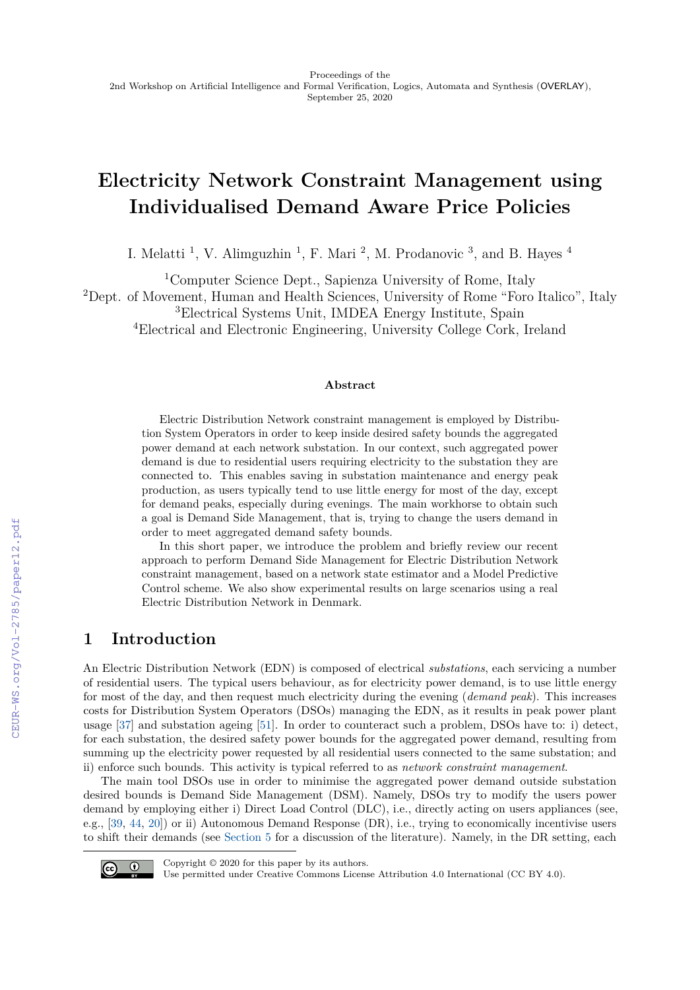# **Electricity Network Constraint Management using Individualised Demand Aware Price Policies**

I. Melatti<sup>1</sup>, V. Alimguzhin<sup>1</sup>, F. Mari<sup>2</sup>, M. Prodanovic<sup>3</sup>, and B. Hayes<sup>4</sup>

<sup>1</sup>Computer Science Dept., Sapienza University of Rome, Italy

<sup>2</sup>Dept. of Movement, Human and Health Sciences, University of Rome "Foro Italico", Italy

<sup>3</sup>Electrical Systems Unit, IMDEA Energy Institute, Spain

<sup>4</sup>Electrical and Electronic Engineering, University College Cork, Ireland

#### **Abstract**

Electric Distribution Network constraint management is employed by Distribution System Operators in order to keep inside desired safety bounds the aggregated power demand at each network substation. In our context, such aggregated power demand is due to residential users requiring electricity to the substation they are connected to. This enables saving in substation maintenance and energy peak production, as users typically tend to use little energy for most of the day, except for demand peaks, especially during evenings. The main workhorse to obtain such a goal is Demand Side Management, that is, trying to change the users demand in order to meet aggregated demand safety bounds.

In this short paper, we introduce the problem and briefly review our recent approach to perform Demand Side Management for Electric Distribution Network constraint management, based on a network state estimator and a Model Predictive Control scheme. We also show experimental results on large scenarios using a real Electric Distribution Network in Denmark.

## **1 Introduction**

An Electric Distribution Network (EDN) is composed of electrical *substations*, each servicing a number of residential users. The typical users behaviour, as for electricity power demand, is to use little energy for most of the day, and then request much electricity during the evening (*demand peak*). This increases costs for Distribution System Operators (DSOs) managing the EDN, as it results in peak power plant usage [\[37\]](#page--1-0) and substation ageing [\[51\]](#page--1-1). In order to counteract such a problem, DSOs have to: i) detect, for each substation, the desired safety power bounds for the aggregated power demand, resulting from summing up the electricity power requested by all residential users connected to the same substation; and ii) enforce such bounds. This activity is typical referred to as *network constraint management*.

The main tool DSOs use in order to minimise the aggregated power demand outside substation desired bounds is Demand Side Management (DSM). Namely, DSOs try to modify the users power demand by employing either i) Direct Load Control (DLC), i.e., directly acting on users appliances (see, e.g., [\[39,](#page--1-2) [44,](#page--1-3) [20\]](#page--1-4)) or ii) Autonomous Demand Response (DR), i.e., trying to economically incentivise users to shift their demands (see [Section 5](#page--1-5) for a discussion of the literature). Namely, in the DR setting, each



Copyright © 2020 for this paper by its authors.

Use permitted under Creative Commons License Attribution 4.0 International (CC BY 4.0).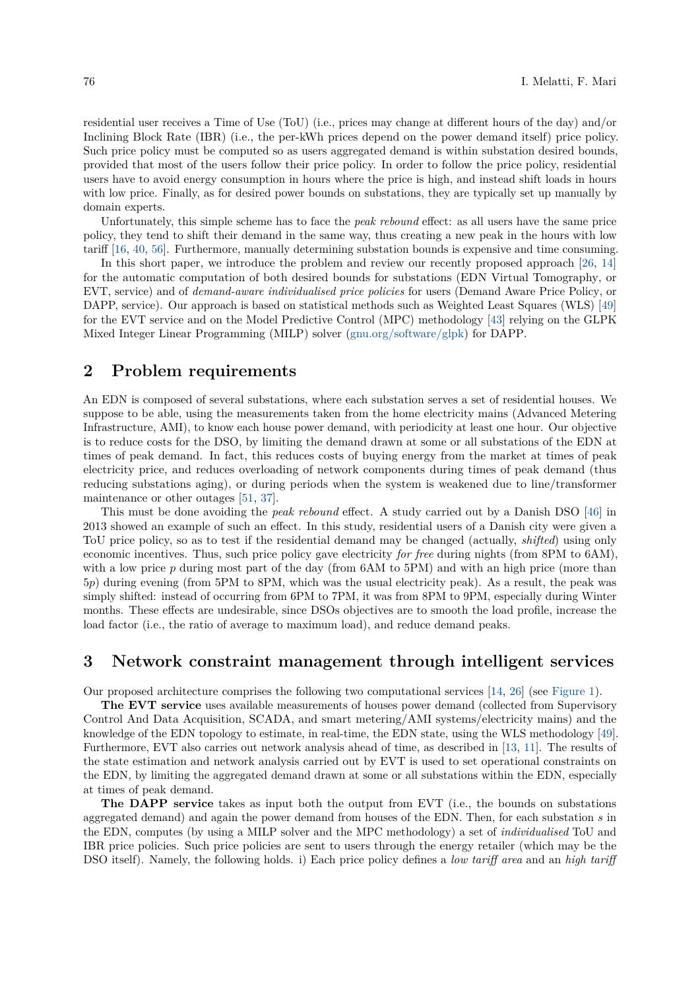residential user receives a Time of Use (ToU) (i.e., prices may change at different hours of the day) and/or Inclining Block Rate (IBR) (i.e., the per-kWh prices depend on the power demand itself) price policy. Such price policy must be computed so as users aggregated demand is within substation desired bounds, provided that most of the users follow their price policy. In order to follow the price policy, residential users have to avoid energy consumption in hours where the price is high, and instead shift loads in hours with low price. Finally, as for desired power bounds on substations, they are typically set up manually by domain experts.

Unfortunately, this simple scheme has to face the *peak rebound* effect: as all users have the same price policy, they tend to shift their demand in the same way, thus creating a new peak in the hours with low tariff [\[16,](#page-4-0) [40,](#page-5-0) [56\]](#page-5-1). Furthermore, manually determining substation bounds is expensive and time consuming.

In this short paper, we introduce the problem and review our recently proposed approach [\[26,](#page-4-1) [14\]](#page-4-2) for the automatic computation of both desired bounds for substations (EDN Virtual Tomography, or EVT, service) and of *demand-aware individualised price policies* for users (Demand Aware Price Policy, or DAPP, service). Our approach is based on statistical methods such as Weighted Least Squares (WLS) [\[49\]](#page-5-2) for the EVT service and on the Model Predictive Control (MPC) methodology [\[43\]](#page-5-3) relying on the GLPK Mixed Integer Linear Programming (MILP) solver [\(gnu.org/software/glpk\)](gnu.org/software/glpk) for DAPP.

#### <span id="page-1-0"></span>**2 Problem requirements**

An EDN is composed of several substations, where each substation serves a set of residential houses. We suppose to be able, using the measurements taken from the home electricity mains (Advanced Metering Infrastructure, AMI), to know each house power demand, with periodicity at least one hour. Our objective is to reduce costs for the DSO, by limiting the demand drawn at some or all substations of the EDN at times of peak demand. In fact, this reduces costs of buying energy from the market at times of peak electricity price, and reduces overloading of network components during times of peak demand (thus reducing substations aging), or during periods when the system is weakened due to line/transformer maintenance or other outages [\[51,](#page-5-4) [37\]](#page-5-5).

This must be done avoiding the *peak rebound* effect. A study carried out by a Danish DSO [\[46\]](#page-5-6) in 2013 showed an example of such an effect. In this study, residential users of a Danish city were given a ToU price policy, so as to test if the residential demand may be changed (actually, *shifted*) using only economic incentives. Thus, such price policy gave electricity *for free* during nights (from 8PM to 6AM), with a low price p during most part of the day (from 6AM to 5PM) and with an high price (more than 5*p*) during evening (from 5PM to 8PM, which was the usual electricity peak). As a result, the peak was simply shifted: instead of occurring from 6PM to 7PM, it was from 8PM to 9PM, especially during Winter months. These effects are undesirable, since DSOs objectives are to smooth the load profile, increase the load factor (i.e., the ratio of average to maximum load), and reduce demand peaks.

# **3 Network constraint management through intelligent services**

Our proposed architecture comprises the following two computational services [\[14,](#page-4-2) [26\]](#page-4-1) (see [Figure 1\)](#page-2-0).

**The EVT service** uses available measurements of houses power demand (collected from Supervisory Control And Data Acquisition, SCADA, and smart metering/AMI systems/electricity mains) and the knowledge of the EDN topology to estimate, in real-time, the EDN state, using the WLS methodology [\[49\]](#page-5-2). Furthermore, EVT also carries out network analysis ahead of time, as described in [\[13,](#page-4-3) [11\]](#page-4-4). The results of the state estimation and network analysis carried out by EVT is used to set operational constraints on the EDN, by limiting the aggregated demand drawn at some or all substations within the EDN, especially at times of peak demand.

**The DAPP service** takes as input both the output from EVT (i.e., the bounds on substations aggregated demand) and again the power demand from houses of the EDN. Then, for each substation *s* in the EDN, computes (by using a MILP solver and the MPC methodology) a set of *individualised* ToU and IBR price policies. Such price policies are sent to users through the energy retailer (which may be the DSO itself). Namely, the following holds. i) Each price policy defines a *low tariff area* and an *high tariff*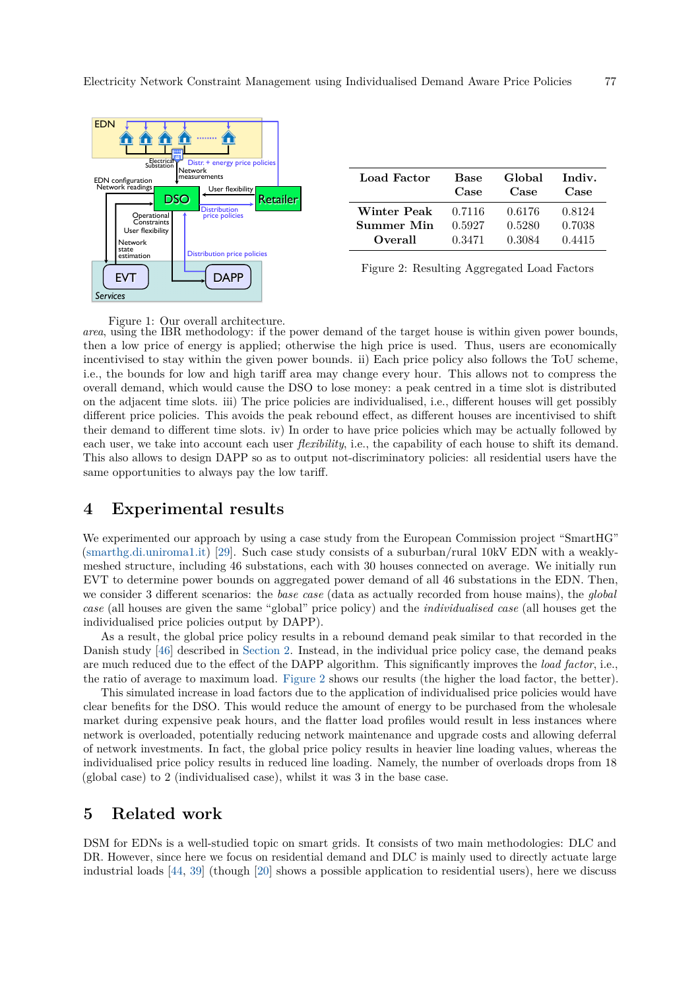<span id="page-2-0"></span>

| Load Factor | <b>Base</b><br>Case | Global<br>Case | Indiv.<br>Case |
|-------------|---------------------|----------------|----------------|
| Winter Peak | 0.7116              | 0.6176         | 0.8124         |
| Summer Min  | 0.5927              | 0.5280         | 0.7038         |
| Overall     | 0.3471              | 0.3084         | 0.4415         |

Figure 2: Resulting Aggregated Load Factors

Figure 1: Our overall architecture.

*area*, using the IBR methodology: if the power demand of the target house is within given power bounds, then a low price of energy is applied; otherwise the high price is used. Thus, users are economically incentivised to stay within the given power bounds. ii) Each price policy also follows the ToU scheme, i.e., the bounds for low and high tariff area may change every hour. This allows not to compress the overall demand, which would cause the DSO to lose money: a peak centred in a time slot is distributed on the adjacent time slots. iii) The price policies are individualised, i.e., different houses will get possibly different price policies. This avoids the peak rebound effect, as different houses are incentivised to shift their demand to different time slots. iv) In order to have price policies which may be actually followed by each user, we take into account each user *flexibility*, i.e., the capability of each house to shift its demand. This also allows to design DAPP so as to output not-discriminatory policies: all residential users have the same opportunities to always pay the low tariff.

### **4 Experimental results**

We experimented our approach by using a case study from the European Commission project "SmartHG" [\(smarthg.di.uniroma1.it\)](smarthg.di.uniroma1.it) [\[29\]](#page-5-7). Such case study consists of a suburban/rural 10kV EDN with a weaklymeshed structure, including 46 substations, each with 30 houses connected on average. We initially run EVT to determine power bounds on aggregated power demand of all 46 substations in the EDN. Then, we consider 3 different scenarios: the *base case* (data as actually recorded from house mains), the *global case* (all houses are given the same "global" price policy) and the *individualised case* (all houses get the individualised price policies output by DAPP).

As a result, the global price policy results in a rebound demand peak similar to that recorded in the Danish study [\[46\]](#page-5-6) described in [Section 2.](#page-1-0) Instead, in the individual price policy case, the demand peaks are much reduced due to the effect of the DAPP algorithm. This significantly improves the *load factor*, i.e., the ratio of average to maximum load. [Figure 2](#page-2-0) shows our results (the higher the load factor, the better).

This simulated increase in load factors due to the application of individualised price policies would have clear benefits for the DSO. This would reduce the amount of energy to be purchased from the wholesale market during expensive peak hours, and the flatter load profiles would result in less instances where network is overloaded, potentially reducing network maintenance and upgrade costs and allowing deferral of network investments. In fact, the global price policy results in heavier line loading values, whereas the individualised price policy results in reduced line loading. Namely, the number of overloads drops from 18 (global case) to 2 (individualised case), whilst it was 3 in the base case.

#### **5 Related work**

DSM for EDNs is a well-studied topic on smart grids. It consists of two main methodologies: DLC and DR. However, since here we focus on residential demand and DLC is mainly used to directly actuate large industrial loads [\[44,](#page-5-8) [39\]](#page-5-9) (though [\[20\]](#page-4-5) shows a possible application to residential users), here we discuss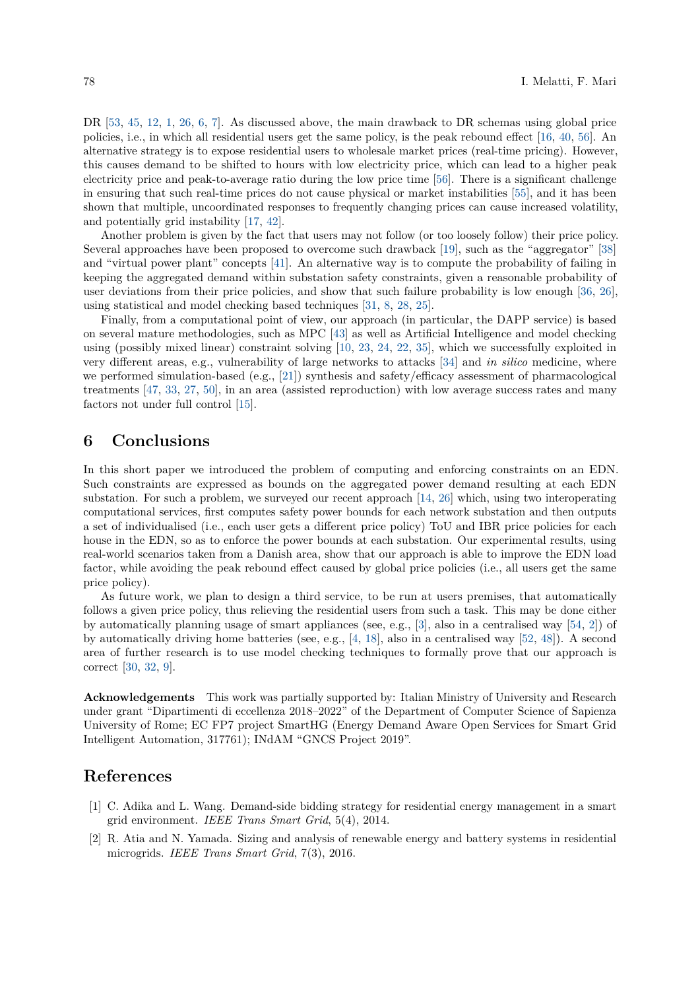DR  $[53, 45, 12, 1, 26, 6, 7]$  $[53, 45, 12, 1, 26, 6, 7]$  $[53, 45, 12, 1, 26, 6, 7]$  $[53, 45, 12, 1, 26, 6, 7]$  $[53, 45, 12, 1, 26, 6, 7]$  $[53, 45, 12, 1, 26, 6, 7]$  $[53, 45, 12, 1, 26, 6, 7]$  $[53, 45, 12, 1, 26, 6, 7]$  $[53, 45, 12, 1, 26, 6, 7]$  $[53, 45, 12, 1, 26, 6, 7]$  $[53, 45, 12, 1, 26, 6, 7]$  $[53, 45, 12, 1, 26, 6, 7]$  $[53, 45, 12, 1, 26, 6, 7]$ . As discussed above, the main drawback to DR schemas using global price policies, i.e., in which all residential users get the same policy, is the peak rebound effect [\[16,](#page-4-0) [40,](#page-5-0) [56\]](#page-5-1). An alternative strategy is to expose residential users to wholesale market prices (real-time pricing). However, this causes demand to be shifted to hours with low electricity price, which can lead to a higher peak electricity price and peak-to-average ratio during the low price time [\[56\]](#page-5-1). There is a significant challenge in ensuring that such real-time prices do not cause physical or market instabilities [\[55\]](#page-5-12), and it has been shown that multiple, uncoordinated responses to frequently changing prices can cause increased volatility, and potentially grid instability [\[17,](#page-4-9) [42\]](#page-5-13).

Another problem is given by the fact that users may not follow (or too loosely follow) their price policy. Several approaches have been proposed to overcome such drawback [\[19\]](#page-4-10), such as the "aggregator" [\[38\]](#page-5-14) and "virtual power plant" concepts [\[41\]](#page-5-15). An alternative way is to compute the probability of failing in keeping the aggregated demand within substation safety constraints, given a reasonable probability of user deviations from their price policies, and show that such failure probability is low enough [\[36,](#page-5-16) [26\]](#page-4-1), using statistical and model checking based techniques [\[31,](#page-5-17) [8,](#page-4-11) [28,](#page-5-18) [25\]](#page-4-12).

Finally, from a computational point of view, our approach (in particular, the DAPP service) is based on several mature methodologies, such as MPC [\[43\]](#page-5-3) as well as Artificial Intelligence and model checking using (possibly mixed linear) constraint solving [\[10,](#page-4-13) [23,](#page-4-14) [24,](#page-4-15) [22,](#page-4-16) [35\]](#page-5-19), which we successfully exploited in very different areas, e.g., vulnerability of large networks to attacks [\[34\]](#page-5-20) and *in silico* medicine, where we performed simulation-based (e.g., [\[21\]](#page-4-17)) synthesis and safety/efficacy assessment of pharmacological treatments [\[47,](#page-5-21) [33,](#page-5-22) [27,](#page-5-23) [50\]](#page-5-24), in an area (assisted reproduction) with low average success rates and many factors not under full control [\[15\]](#page-4-18).

### **6 Conclusions**

In this short paper we introduced the problem of computing and enforcing constraints on an EDN. Such constraints are expressed as bounds on the aggregated power demand resulting at each EDN substation. For such a problem, we surveyed our recent approach [\[14,](#page-4-2) [26\]](#page-4-1) which, using two interoperating computational services, first computes safety power bounds for each network substation and then outputs a set of individualised (i.e., each user gets a different price policy) ToU and IBR price policies for each house in the EDN, so as to enforce the power bounds at each substation. Our experimental results, using real-world scenarios taken from a Danish area, show that our approach is able to improve the EDN load factor, while avoiding the peak rebound effect caused by global price policies (i.e., all users get the same price policy).

As future work, we plan to design a third service, to be run at users premises, that automatically follows a given price policy, thus relieving the residential users from such a task. This may be done either by automatically planning usage of smart appliances (see, e.g., [\[3\]](#page-4-19), also in a centralised way [\[54,](#page-5-25) [2\]](#page-3-1)) of by automatically driving home batteries (see, e.g., [\[4,](#page-4-20) [18\]](#page-4-21), also in a centralised way [\[52,](#page-5-26) [48\]](#page-5-27)). A second area of further research is to use model checking techniques to formally prove that our approach is correct [\[30,](#page-5-28) [32,](#page-5-29) [9\]](#page-4-22).

**Acknowledgements** This work was partially supported by: Italian Ministry of University and Research under grant "Dipartimenti di eccellenza 2018–2022" of the Department of Computer Science of Sapienza University of Rome; EC FP7 project SmartHG (Energy Demand Aware Open Services for Smart Grid Intelligent Automation, 317761); INdAM "GNCS Project 2019".

### **References**

- <span id="page-3-0"></span>[1] C. Adika and L. Wang. Demand-side bidding strategy for residential energy management in a smart grid environment. *IEEE Trans Smart Grid*, 5(4), 2014.
- <span id="page-3-1"></span>[2] R. Atia and N. Yamada. Sizing and analysis of renewable energy and battery systems in residential microgrids. *IEEE Trans Smart Grid*, 7(3), 2016.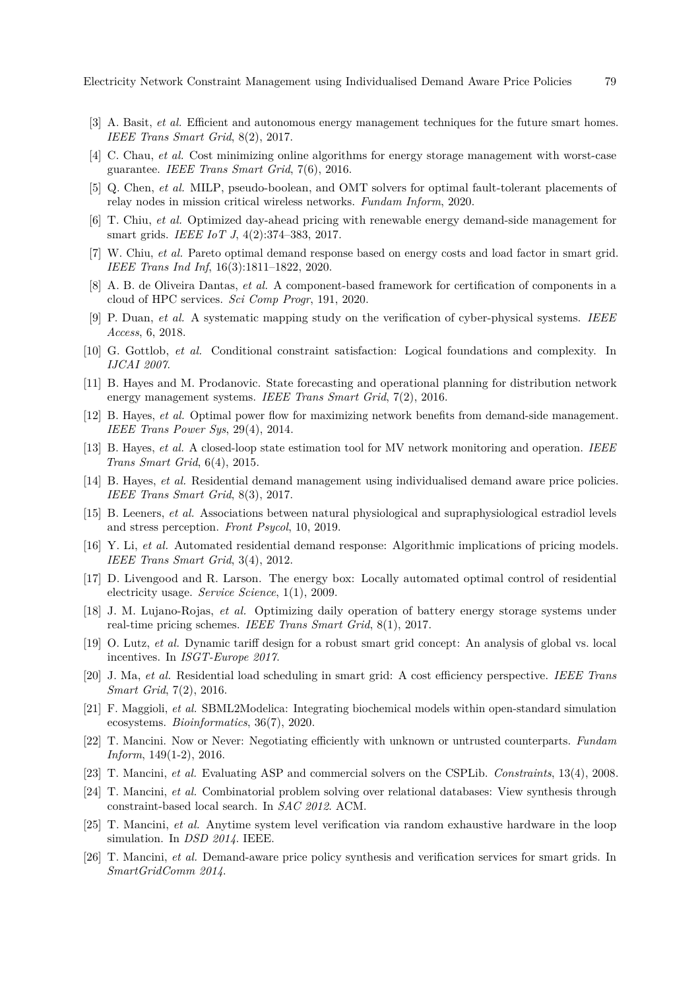Electricity Network Constraint Management using Individualised Demand Aware Price Policies 79

- <span id="page-4-19"></span>[3] A. Basit, *et al.* Efficient and autonomous energy management techniques for the future smart homes. *IEEE Trans Smart Grid*, 8(2), 2017.
- <span id="page-4-20"></span>[4] C. Chau, *et al.* Cost minimizing online algorithms for energy storage management with worst-case guarantee. *IEEE Trans Smart Grid*, 7(6), 2016.
- [5] Q. Chen, *et al.* MILP, pseudo-boolean, and OMT solvers for optimal fault-tolerant placements of relay nodes in mission critical wireless networks. *Fundam Inform*, 2020.
- <span id="page-4-7"></span>[6] T. Chiu, *et al.* Optimized day-ahead pricing with renewable energy demand-side management for smart grids. *IEEE IoT J*, 4(2):374–383, 2017.
- <span id="page-4-8"></span>[7] W. Chiu, *et al.* Pareto optimal demand response based on energy costs and load factor in smart grid. *IEEE Trans Ind Inf*, 16(3):1811–1822, 2020.
- <span id="page-4-11"></span>[8] A. B. de Oliveira Dantas, *et al.* A component-based framework for certification of components in a cloud of HPC services. *Sci Comp Progr*, 191, 2020.
- <span id="page-4-22"></span>[9] P. Duan, *et al.* A systematic mapping study on the verification of cyber-physical systems. *IEEE Access*, 6, 2018.
- <span id="page-4-13"></span>[10] G. Gottlob, *et al.* Conditional constraint satisfaction: Logical foundations and complexity. In *IJCAI 2007*.
- <span id="page-4-4"></span>[11] B. Hayes and M. Prodanovic. State forecasting and operational planning for distribution network energy management systems. *IEEE Trans Smart Grid*, 7(2), 2016.
- <span id="page-4-6"></span>[12] B. Hayes, *et al.* Optimal power flow for maximizing network benefits from demand-side management. *IEEE Trans Power Sys*, 29(4), 2014.
- <span id="page-4-3"></span>[13] B. Hayes, *et al.* A closed-loop state estimation tool for MV network monitoring and operation. *IEEE Trans Smart Grid*, 6(4), 2015.
- <span id="page-4-2"></span>[14] B. Hayes, *et al.* Residential demand management using individualised demand aware price policies. *IEEE Trans Smart Grid*, 8(3), 2017.
- <span id="page-4-18"></span>[15] B. Leeners, *et al.* Associations between natural physiological and supraphysiological estradiol levels and stress perception. *Front Psycol*, 10, 2019.
- <span id="page-4-0"></span>[16] Y. Li, *et al.* Automated residential demand response: Algorithmic implications of pricing models. *IEEE Trans Smart Grid*, 3(4), 2012.
- <span id="page-4-9"></span>[17] D. Livengood and R. Larson. The energy box: Locally automated optimal control of residential electricity usage. *Service Science*, 1(1), 2009.
- <span id="page-4-21"></span>[18] J. M. Lujano-Rojas, *et al.* Optimizing daily operation of battery energy storage systems under real-time pricing schemes. *IEEE Trans Smart Grid*, 8(1), 2017.
- <span id="page-4-10"></span>[19] O. Lutz, *et al.* Dynamic tariff design for a robust smart grid concept: An analysis of global vs. local incentives. In *ISGT-Europe 2017*.
- <span id="page-4-5"></span>[20] J. Ma, *et al.* Residential load scheduling in smart grid: A cost efficiency perspective. *IEEE Trans Smart Grid*, 7(2), 2016.
- <span id="page-4-17"></span>[21] F. Maggioli, *et al.* SBML2Modelica: Integrating biochemical models within open-standard simulation ecosystems. *Bioinformatics*, 36(7), 2020.
- <span id="page-4-16"></span>[22] T. Mancini. Now or Never: Negotiating efficiently with unknown or untrusted counterparts. *Fundam Inform*, 149(1-2), 2016.
- <span id="page-4-14"></span>[23] T. Mancini, *et al.* Evaluating ASP and commercial solvers on the CSPLib. *Constraints*, 13(4), 2008.
- <span id="page-4-15"></span>[24] T. Mancini, *et al.* Combinatorial problem solving over relational databases: View synthesis through constraint-based local search. In *SAC 2012*. ACM.
- <span id="page-4-12"></span>[25] T. Mancini, *et al.* Anytime system level verification via random exhaustive hardware in the loop simulation. In *DSD 2014*. IEEE.
- <span id="page-4-1"></span>[26] T. Mancini, *et al.* Demand-aware price policy synthesis and verification services for smart grids. In *SmartGridComm 2014*.